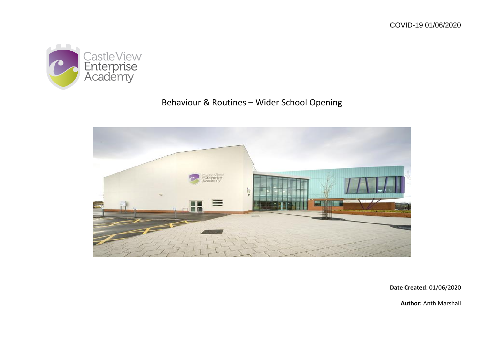

# Behaviour & Routines – Wider School Opening



**Date Created**: 01/06/2020

**Author:** Anth Marshall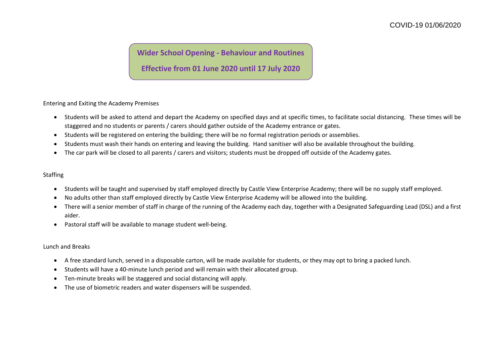## **Wider School Opening - Behaviour and Routines**

### **Effective from 01 June 2020 until 17 July 2020**

Entering and Exiting the Academy Premises

- Students will be asked to attend and depart the Academy on specified days and at specific times, to facilitate social distancing. These times will be staggered and no students or parents / carers should gather outside of the Academy entrance or gates.
- Students will be registered on entering the building; there will be no formal registration periods or assemblies.
- Students must wash their hands on entering and leaving the building. Hand sanitiser will also be available throughout the building.
- The car park will be closed to all parents / carers and visitors; students must be dropped off outside of the Academy gates.

#### Staffing

- Students will be taught and supervised by staff employed directly by Castle View Enterprise Academy; there will be no supply staff employed.
- No adults other than staff employed directly by Castle View Enterprise Academy will be allowed into the building.
- There will a senior member of staff in charge of the running of the Academy each day, together with a Designated Safeguarding Lead (DSL) and a first aider.
- Pastoral staff will be available to manage student well-being.

#### Lunch and Breaks

- A free standard lunch, served in a disposable carton, will be made available for students, or they may opt to bring a packed lunch.
- Students will have a 40-minute lunch period and will remain with their allocated group.
- Ten-minute breaks will be staggered and social distancing will apply.
- The use of biometric readers and water dispensers will be suspended.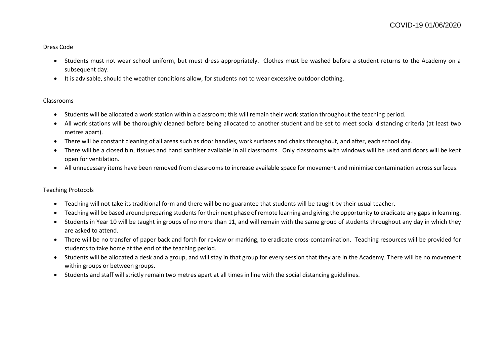#### Dress Code

- Students must not wear school uniform, but must dress appropriately. Clothes must be washed before a student returns to the Academy on a subsequent day.
- It is advisable, should the weather conditions allow, for students not to wear excessive outdoor clothing.

#### Classrooms

- Students will be allocated a work station within a classroom; this will remain their work station throughout the teaching period.
- All work stations will be thoroughly cleaned before being allocated to another student and be set to meet social distancing criteria (at least two metres apart).
- There will be constant cleaning of all areas such as door handles, work surfaces and chairs throughout, and after, each school day.
- There will be a closed bin, tissues and hand sanitiser available in all classrooms. Only classrooms with windows will be used and doors will be kept open for ventilation.
- All unnecessary items have been removed from classrooms to increase available space for movement and minimise contamination across surfaces.

#### Teaching Protocols

- Teaching will not take its traditional form and there will be no guarantee that students will be taught by their usual teacher.
- Teaching will be based around preparing students for their next phase of remote learning and giving the opportunity to eradicate any gaps in learning.
- Students in Year 10 will be taught in groups of no more than 11, and will remain with the same group of students throughout any day in which they are asked to attend.
- There will be no transfer of paper back and forth for review or marking, to eradicate cross-contamination. Teaching resources will be provided for students to take home at the end of the teaching period.
- Students will be allocated a desk and a group, and will stay in that group for every session that they are in the Academy. There will be no movement within groups or between groups.
- Students and staff will strictly remain two metres apart at all times in line with the social distancing guidelines.